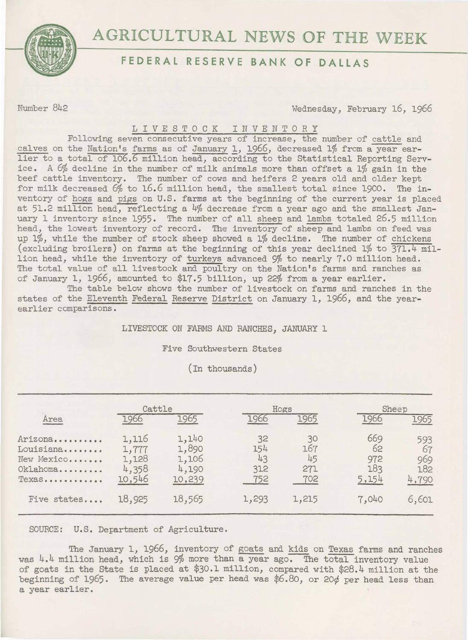

## **FEDERAL RESERVE BANK OF DALLAS**

Number 842 Wednesday, February 16, 1966

## LIVESTOCK INVENTORY

Following seven consecutive years of increase, the number of cattle and calves on the Nation's farms as of January 1, 1966, decreased 1% from a year earlier to a total of 106.6 million head, according to the Statistical Reporting Service. A 6% decline in the number of milk animals more than offset a 1% gain in the beef cattle inventory. The number of cows and heifers 2 years old and older kept for milk decreased 6% to 16.6 million head, the smallest total since 1900. The inventory of hogs and pigs on U.S. farms at the beginning of the current year is placed at 51.2 million head, reflecting a 4% decrease from a year ago and the smallest January 1 inventory since 1955. The number of all sheep and lambs totaled 26.5 million head, the lowest inventory of record. The inventory of sheep and lambs on feed was up 1%, while the number of stock sheep showed a 1% decline. The number of chickens (excluding broilers) on farms at the beginning of this year declined 1% to 371.4 million head, while the inventory of turkeys advanced 9% to nearly 7.0 million head. The total value of all livestock and poultry on the Nation's farms and ranches as of January 1, 1966, amounted to \$17.5 billion, up 22% from a year earlier.

The table below shows the number of livestock on farms and ranches in the states of the Eleventh Federal Reserve District on January 1, 1966, and the yearearlier comparisons.

LIVESTOCK ON FARMS AND RANCHES, JANUARY 1

Five Southwestern States

(In thousands)

|                                                                       | Cattle                                     |                                            | Hogs                          |                               |                                  | Sheep                            |  |
|-----------------------------------------------------------------------|--------------------------------------------|--------------------------------------------|-------------------------------|-------------------------------|----------------------------------|----------------------------------|--|
| Area                                                                  | 1966                                       | 1965                                       | 1966                          | 1965                          | 1966                             | 1965                             |  |
| Arizona<br>Louisiana<br>New Mexico<br>Oklahoma<br>$Texas \dots \dots$ | 1,116<br>1,777<br>1,128<br>4,358<br>10,546 | 1,140<br>1,890<br>1,106<br>4,190<br>10,239 | 32<br>154<br>43<br>312<br>752 | 30<br>167<br>45<br>271<br>702 | 669<br>62<br>972<br>183<br>5,154 | 593<br>67<br>969<br>182<br>4,790 |  |
| Five states                                                           | 18,925                                     | 18,565                                     | 1,293                         | 1,215                         | 7,040                            | 6,601                            |  |

SOURCE: U.S. Department of Agriculture.

The January 1, 1966, inventory of goats and kids on Texas farms and ranches was 4.4 million head, which is 9% more than a year ago. The total inventory value of goats in the State is placed at \$30.l million, compared with \$28.4 million at the beginning of 1965. The average value per head was \$6.80, or 20¢ per head less than a year earlier.